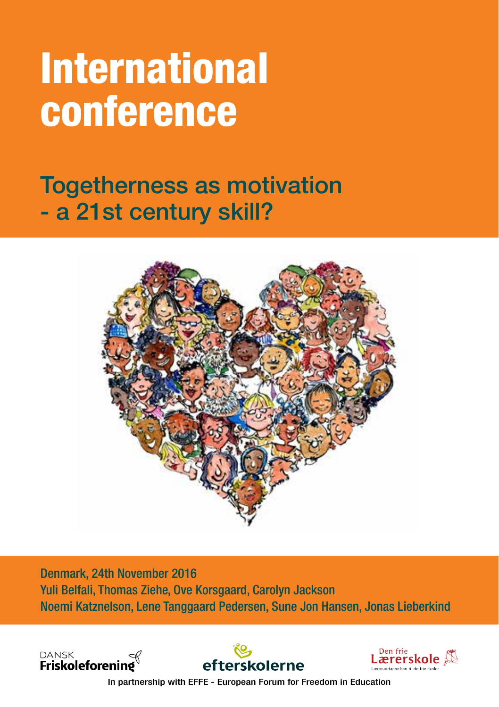# International conference

Togetherness as motivation - a 21st century skill?



Denmark, 24th November 2016 Yuli Belfali, Thomas Ziehe, Ove Korsgaard, Carolyn Jackson Noemi Katznelson, Lene Tanggaard Pedersen, Sune Jon Hansen, Jonas Lieberkind







In partnership with EFFE - European Forum for Freedom in Education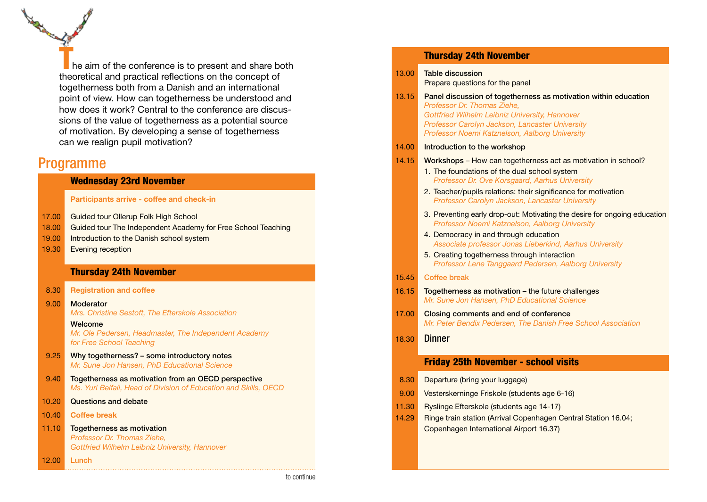$\blacksquare$  he aim of the conference is to present and share both theoretical and practical refections on the concept of togetherness both from a Danish and an international point of view. How can togetherness be understood and how does it work? Central to the conference are discussions of the value of togetherness as a potential source of motivation. By developing a sense of togetherness can we realign pupil motivation?

## Programme

### Wednesday 23rd November

#### Participants arrive - coffee and check-in

- 17.00 Guided tour Ollerup Folk High School
- 18.00 Guided tour The Independent Academy for Free School Teaching
- 19.00 Introduction to the Danish school system
- 19.30 Evening reception

#### Thursday 24th November

| 8.30 Registration and coffee |
|------------------------------|
|------------------------------|

9.00 Moderator *Mrs. Christine Sestoft, The Efterskole Association*

Welcome

*Mr. Ole Pedersen, Headmaster, The Independent Academy for Free School Teaching*

- 9.25 Why togetherness? some introductory notes *Mr. Sune Jon Hansen, PhD Educational Science*
- 9.40 Togetherness as motivation from an OECD perspective *Ms. Yuri Belfali, Head of Division of Education and Skills, OECD*
- 10.20 Questions and debate
- 10.40 Coffee break

12.00 Lunch

11.10 Togetherness as motivation *Professor Dr. Thomas Ziehe, Gottfried Wilhelm Leibniz University, Hannover* 

|       | <b>Thursday 24th November</b>                                                                                                                                                                                                                                                        |
|-------|--------------------------------------------------------------------------------------------------------------------------------------------------------------------------------------------------------------------------------------------------------------------------------------|
| 13.00 | <b>Table discussion</b><br>Prepare questions for the panel                                                                                                                                                                                                                           |
| 13.15 | Panel discussion of togetherness as motivation within education<br>Professor Dr. Thomas Ziehe.<br>Gottfried Wilhelm Leibniz University, Hannover<br>Professor Carolyn Jackson, Lancaster University<br>Professor Noemi Katznelson, Aalborg University                                |
| 14.00 | Introduction to the workshop                                                                                                                                                                                                                                                         |
| 14.15 | Workshops – How can togetherness act as motivation in school?<br>1. The foundations of the dual school system<br>Professor Dr. Ove Korsgaard, Aarhus University<br>2. Teacher/pupils relations: their significance for motivation<br>Professor Carolyn Jackson, Lancaster University |
|       | 3. Preventing early drop-out: Motivating the desire for ongoing education<br>Professor Noemi Katznelson, Aalborg University                                                                                                                                                          |
|       | 4. Democracy in and through education<br>Associate professor Jonas Lieberkind, Aarhus University                                                                                                                                                                                     |
|       | 5. Creating togetherness through interaction<br>Professor Lene Tanggaard Pedersen, Aalborg University                                                                                                                                                                                |
| 15.45 | <b>Coffee break</b>                                                                                                                                                                                                                                                                  |
| 16.15 | Togetherness as motivation – the future challenges<br>Mr. Sune Jon Hansen, PhD Educational Science                                                                                                                                                                                   |
| 17.00 | Closing comments and end of conference<br>Mr. Peter Bendix Pedersen, The Danish Free School Association                                                                                                                                                                              |
| 18.30 | <b>Dinner</b>                                                                                                                                                                                                                                                                        |
|       | <b>Friday 25th November - school visits</b>                                                                                                                                                                                                                                          |
| 8.30  | Departure (bring your luggage)                                                                                                                                                                                                                                                       |

09.00 Vesterskerninge Friskole (students age 6-16) 11.30 Ryslinge Efterskole (students age 14-17)

Copenhagen International Airport 16.37)

14.29 Ringe train station (Arrival Copenhagen Central Station 16.04;

to continue